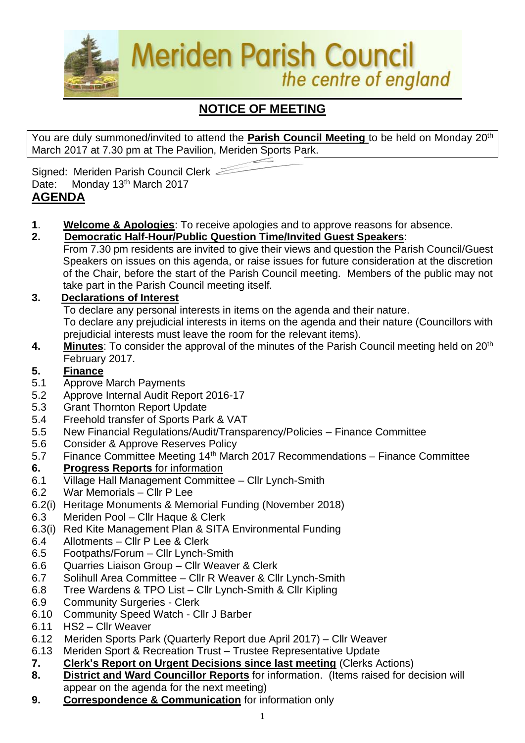

# **NOTICE OF MEETING**

You are duly summoned/invited to attend the **Parish Council Meeting** to be held on Monday 20th March 2017 at 7.30 pm at The Pavilion, Meriden Sports Park.

Signed: Meriden Parish Council Clerk Date: Monday 13<sup>th</sup> March 2017

## **AGENDA**

- **1**. **Welcome & Apologies**: To receive apologies and to approve reasons for absence.
- **2. Democratic Half-Hour/Public Question Time/Invited Guest Speakers**:
	- From 7.30 pm residents are invited to give their views and question the Parish Council/Guest Speakers on issues on this agenda, or raise issues for future consideration at the discretion of the Chair, before the start of the Parish Council meeting. Members of the public may not take part in the Parish Council meeting itself.

## **3. Declarations of Interest**

To declare any personal interests in items on the agenda and their nature.

To declare any prejudicial interests in items on the agenda and their nature (Councillors with prejudicial interests must leave the room for the relevant items).

**4.** Minutes: To consider the approval of the minutes of the Parish Council meeting held on 20<sup>th</sup> February 2017.

## **5. Finance**

- 5.1 Approve March Payments
- 5.2 Approve Internal Audit Report 2016-17
- 5.3 Grant Thornton Report Update
- 5.4 Freehold transfer of Sports Park & VAT
- 5.5 New Financial Regulations/Audit/Transparency/Policies Finance Committee
- 5.6 Consider & Approve Reserves Policy
- 5.7 Finance Committee Meeting  $14<sup>th</sup>$  March 2017 Recommendations Finance Committee **6. Progress Reports** for information
- 6.1 Village Hall Management Committee Cllr Lynch-Smith
- 6.2 War Memorials Cllr P Lee
- 6.2(i) Heritage Monuments & Memorial Funding (November 2018)
- 6.3 Meriden Pool Cllr Haque & Clerk
- 6.3(i) Red Kite Management Plan & SITA Environmental Funding
- 6.4 Allotments Cllr P Lee & Clerk
- 6.5 Footpaths/Forum Cllr Lynch-Smith
- 6.6 Quarries Liaison Group Cllr Weaver & Clerk
- 6.7 Solihull Area Committee Cllr R Weaver & Cllr Lynch-Smith
- 6.8 Tree Wardens & TPO List Cllr Lynch-Smith & Cllr Kipling
- 6.9 Community Surgeries Clerk
- 6.10 Community Speed Watch Cllr J Barber
- 6.11 HS2 Cllr Weaver
- 6.12Meriden Sports Park (Quarterly Report due April 2017) Cllr Weaver
- 6.13 Meriden Sport & Recreation Trust Trustee Representative Update
- **7. Clerk's Report on Urgent Decisions since last meeting** (Clerks Actions)
- **8. District and Ward Councillor Reports** for information. (Items raised for decision will appear on the agenda for the next meeting)
- **9. Correspondence & Communication** for information only